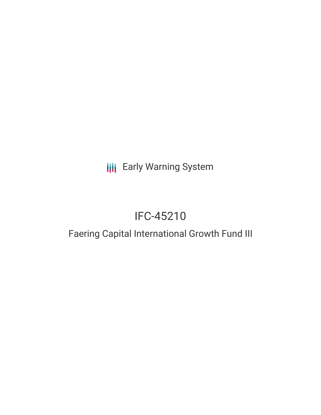# **III** Early Warning System

# IFC-45210

# Faering Capital International Growth Fund III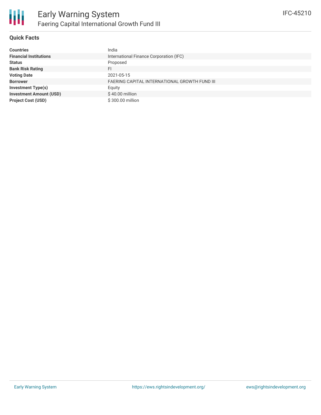

## **Quick Facts**

| <b>Countries</b>               | India                                                |
|--------------------------------|------------------------------------------------------|
| <b>Financial Institutions</b>  | International Finance Corporation (IFC)              |
| <b>Status</b>                  | Proposed                                             |
| <b>Bank Risk Rating</b>        | FI                                                   |
| <b>Voting Date</b>             | 2021-05-15                                           |
| <b>Borrower</b>                | <b>FAERING CAPITAL INTERNATIONAL GROWTH FUND III</b> |
| <b>Investment Type(s)</b>      | Equity                                               |
| <b>Investment Amount (USD)</b> | $$40.00$ million                                     |
| <b>Project Cost (USD)</b>      | \$300.00 million                                     |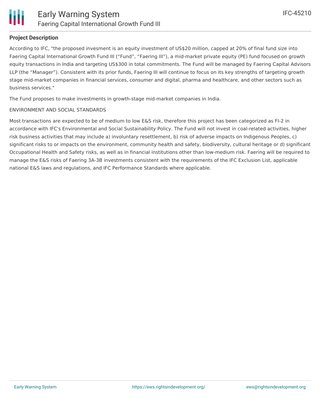

#### **Project Description**

According to IFC, "the proposed invesment is an equity investment of US\$20 million, capped at 20% of final fund size into Faering Capital International Growth Fund III ("Fund", "Faering III"), a mid-market private equity (PE) fund focused on growth equity transactions in India and targeting US\$300 in total commitments. The Fund will be managed by Faering Capital Advisors LLP (the "Manager"). Consistent with its prior funds, Faering III will continue to focus on its key strengths of targeting growth stage mid-market companies in financial services, consumer and digital, pharma and healthcare, and other sectors such as business services."

The Fund proposes to make investments in growth-stage mid-market companies in India.

#### ENVIRONMENT AND SOCIAL STANDARDS

Most transactions are expected to be of medium to low E&S risk, therefore this project has been categorized as FI-2 in accordance with IFC's Environmental and Social Sustainability Policy. The Fund will not invest in coal-related activities, higher risk business activities that may include a) involuntary resettlement, b) risk of adverse impacts on Indigenous Peoples, c) significant risks to or impacts on the environment, community health and safety, biodiversity, cultural heritage or d) significant Occupational Health and Safety risks, as well as in financial institutions other than low-medium risk. Faering will be required to manage the E&S risks of Faering 3A-3B investments consistent with the requirements of the IFC Exclusion List, applicable national E&S laws and regulations, and IFC Performance Standards where applicable.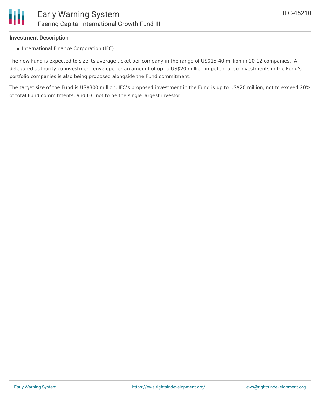#### **Investment Description**

• International Finance Corporation (IFC)

The new Fund is expected to size its average ticket per company in the range of US\$15-40 million in 10-12 companies. A delegated authority co-investment envelope for an amount of up to US\$20 million in potential co-investments in the Fund's portfolio companies is also being proposed alongside the Fund commitment.

The target size of the Fund is US\$300 million. IFC's proposed investment in the Fund is up to US\$20 million, not to exceed 20% of total Fund commitments, and IFC not to be the single largest investor.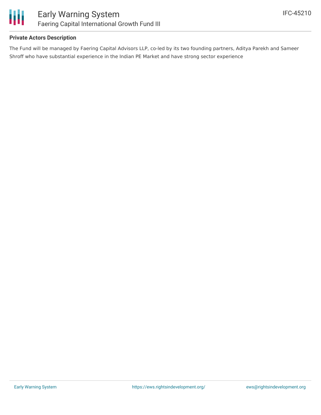

#### **Private Actors Description**

The Fund will be managed by Faering Capital Advisors LLP, co-led by its two founding partners, Aditya Parekh and Sameer Shroff who have substantial experience in the Indian PE Market and have strong sector experience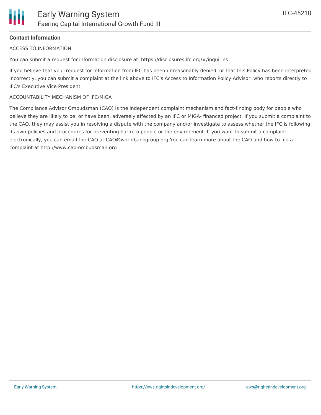# **Contact Information**

## ACCESS TO INFORMATION

You can submit a request for information disclosure at: https://disclosures.ifc.org/#/inquiries

If you believe that your request for information from IFC has been unreasonably denied, or that this Policy has been interpreted incorrectly, you can submit a complaint at the link above to IFC's Access to Information Policy Advisor, who reports directly to IFC's Executive Vice President.

### ACCOUNTABILITY MECHANISM OF IFC/MIGA

The Compliance Advisor Ombudsman (CAO) is the independent complaint mechanism and fact-finding body for people who believe they are likely to be, or have been, adversely affected by an IFC or MIGA- financed project. If you submit a complaint to the CAO, they may assist you in resolving a dispute with the company and/or investigate to assess whether the IFC is following its own policies and procedures for preventing harm to people or the environment. If you want to submit a complaint electronically, you can email the CAO at CAO@worldbankgroup.org You can learn more about the CAO and how to file a complaint at http://www.cao-ombudsman.org